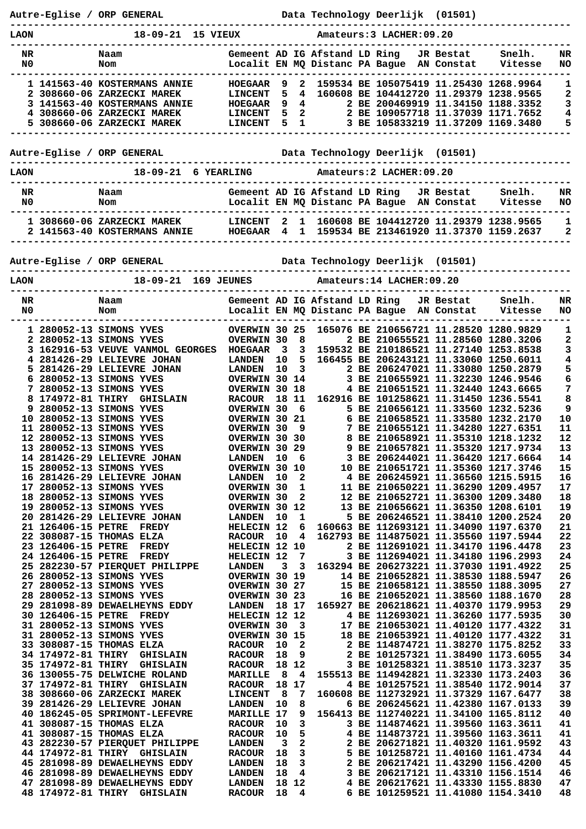|                            |                                                  | Autre-Eglise / ORP GENERAL                                                                                                                             |                                                                    |                         |                                                    |                               |  | Data Technology Deerlijk (01501)          |           |                                                                                                                                                                                                                             |                       |
|----------------------------|--------------------------------------------------|--------------------------------------------------------------------------------------------------------------------------------------------------------|--------------------------------------------------------------------|-------------------------|----------------------------------------------------|-------------------------------|--|-------------------------------------------|-----------|-----------------------------------------------------------------------------------------------------------------------------------------------------------------------------------------------------------------------------|-----------------------|
| <b>LAON</b>                |                                                  | 18-09-21 15 VIEUX                                                                                                                                      |                                                                    |                         |                                                    |                               |  | Amateurs: 3 LACHER: 09.20                 |           |                                                                                                                                                                                                                             |                       |
| NR<br>N0                   |                                                  | Naam<br>Nom                                                                                                                                            |                                                                    |                         |                                                    | Gemeent AD IG Afstand LD Ring |  | Localit EN MQ Distanc PA Bague AN Constat | JR Bestat | Snelh.<br>Vitesse                                                                                                                                                                                                           | NR<br>NO.             |
|                            |                                                  | 1 141563-40 KOSTERMANS ANNIE<br>2 308660-06 ZARZECKI MAREK<br>3 141563-40 KOSTERMANS ANNIE<br>4 308660-06 ZARZECKI MAREK<br>5 308660-06 ZARZECKI MAREK | <b>HOEGAAR</b><br><b>LINCENT</b><br><b>HOEGAAR</b>                 | 9<br>5                  | 2<br>4                                             |                               |  |                                           |           | 159534 BE 105075419 11.25430 1268.9964<br>160608 BE 104412720 11.29379 1238.9565<br>9 4 2 BE 200469919 11.34150 1188.3352<br>LINCENT 5 2 2 BE 109057718 11.37039 1171.7652<br>LINCENT 5 1 3 BE 105833219 11.37209 1169.3480 | 1<br>2<br>3<br>4<br>5 |
| Autre-Eglise / ORP GENERAL |                                                  |                                                                                                                                                        |                                                                    |                         |                                                    |                               |  | Data Technology Deerlijk (01501)          |           |                                                                                                                                                                                                                             |                       |
| <b>LAON</b>                | 18-09-21 6 YEARLING<br>Amateurs: 2 LACHER: 09.20 |                                                                                                                                                        |                                                                    |                         |                                                    |                               |  |                                           |           |                                                                                                                                                                                                                             |                       |
| NR<br>N0.                  |                                                  | Naam<br>Nom                                                                                                                                            |                                                                    |                         |                                                    | Gemeent AD IG Afstand LD Ring |  | Localit EN MQ Distanc PA Bague AN Constat | JR Bestat | Snelh.<br>Vitesse                                                                                                                                                                                                           | NR<br>NO              |
|                            |                                                  | 1 308660-06 ZARZECKI MAREK<br>2 141563-40 KOSTERMANS ANNIE                                                                                             | <b>LINCENT</b>                                                     | 2                       | $\mathbf{1}$                                       |                               |  |                                           |           | 160608 BE 104412720 11.29379 1238.9565<br>HOEGAAR 4 1 159534 BE 213461920 11.37370 1159.2637                                                                                                                                | 1<br>$\mathbf{2}$     |
| Autre-Eglise / ORP GENERAL |                                                  |                                                                                                                                                        |                                                                    |                         |                                                    |                               |  | Data Technology Deerlijk (01501)          |           |                                                                                                                                                                                                                             |                       |
| <b>LAON</b>                |                                                  | $18 - 09 - 21$                                                                                                                                         | 169 JEUNES                                                         |                         | Amateurs: 14 LACHER: 09.20                         |                               |  |                                           |           |                                                                                                                                                                                                                             |                       |
| NR<br>N0                   |                                                  | Naam<br>Nom                                                                                                                                            |                                                                    |                         |                                                    | Gemeent AD IG Afstand LD Ring |  | Localit EN MQ Distanc PA Bague AN Constat | JR Bestat | Snelh.<br>Vitesse                                                                                                                                                                                                           | NR<br>NO              |
|                            |                                                  | 1 280052-13 SIMONS YVES<br>2 280052-13 SIMONS YVES                                                                                                     | OVERWIN 30 25<br><b>OVERWIN 30</b>                                 |                         | - 8                                                |                               |  |                                           |           | 165076 BE 210656721 11.28520 1280.9829<br>2 BE 210655521 11.28560 1280.3206                                                                                                                                                 | 1<br>2                |
|                            |                                                  | 3 162916-53 VEUVE VANMOL GEORGES<br>4 281426-29 LELIEVRE JOHAN                                                                                         | HOEGAAR <sub>3</sub><br><b>LANDEN</b>                              | 10                      | $\mathbf{3}$<br>5                                  |                               |  |                                           |           | 159532 BE 210186521 11.27140 1253.8538<br>166455 BE 206243121 11.33060 1250.6011                                                                                                                                            | 3<br>4                |
|                            |                                                  | 5 281426-29 LELIEVRE JOHAN                                                                                                                             | <b>LANDEN</b>                                                      | 10                      | $\overline{\mathbf{3}}$                            |                               |  |                                           |           | 2 BE 206247021 11.33080 1250.2879                                                                                                                                                                                           | 5                     |
|                            |                                                  | 6 280052-13 SIMONS YVES<br>7 280052-13 SIMONS YVES                                                                                                     | OVERWIN 30 14<br>OVERWIN 30 18                                     |                         |                                                    |                               |  |                                           |           | 3 BE 210655921 11.32230 1246.9546<br>4 BE 210651521 11.32440 1243.6665                                                                                                                                                      | 6<br>7                |
| 8                          | 174972-81 THIRY                                  | <b>GHISLAIN</b>                                                                                                                                        | <b>RACOUR</b>                                                      | 18 11                   |                                                    |                               |  |                                           |           | 162916 BE 101258621 11.31450 1236.5541                                                                                                                                                                                      | 8                     |
|                            |                                                  | 9 280052-13 SIMONS YVES<br>10 280052-13 SIMONS YVES                                                                                                    | <b>OVERWIN 30</b><br>OVERWIN 30 21                                 |                         | - 6                                                |                               |  |                                           |           | 5 BE 210656121 11.33560 1232.5236<br>6 BE 210658521 11.33580 1232.2170                                                                                                                                                      | 9<br>10               |
|                            |                                                  | 11 280052-13 SIMONS YVES                                                                                                                               | <b>OVERWIN 30</b>                                                  |                         | - 9                                                |                               |  |                                           |           | 7 BE 210655121 11.34280 1227.6351                                                                                                                                                                                           | 11                    |
|                            |                                                  | 12 280052-13 SIMONS YVES<br>13 280052-13 SIMONS YVES                                                                                                   | OVERWIN 30 30<br>OVERWIN 30 29                                     |                         |                                                    |                               |  |                                           |           | 8 BE 210658921 11.35310 1218.1232<br>9 BE 210657821 11.35320 1217.9734                                                                                                                                                      | 12<br>13              |
|                            |                                                  | 14 281426-29 LELIEVRE JOHAN                                                                                                                            | LANDEN 10 6                                                        |                         |                                                    |                               |  |                                           |           | 3 BE 206244021 11.36420 1217.6664                                                                                                                                                                                           | 14                    |
|                            |                                                  | 15 280052-13 SIMONS YVES<br>16 281426-29 LELIEVRE JOHAN                                                                                                | <b>OVERWIN 30 10</b><br><b>LANDEN</b>                              | 10                      | $\overline{\mathbf{2}}$                            |                               |  |                                           |           | 10 BE 210651721 11.35360 1217.3746<br>4 BE 206245921 11.36560 1215.5915                                                                                                                                                     | 15<br>16              |
|                            |                                                  | 17 280052-13 SIMONS YVES                                                                                                                               | <b>OVERWIN 30</b>                                                  |                         | $\mathbf{1}$                                       |                               |  |                                           |           | 11 BE 210650221 11.36290 1209.4957                                                                                                                                                                                          | 17                    |
|                            |                                                  | 18 280052-13 SIMONS YVES<br>19 280052-13 SIMONS YVES                                                                                                   | <b>OVERWIN 30</b>                                                  |                         | $\overline{\mathbf{2}}$                            |                               |  |                                           |           | 12 BE 210652721 11.36300 1209.3480                                                                                                                                                                                          | 18                    |
|                            |                                                  | 20 281426-29 LELIEVRE JOHAN                                                                                                                            | OVERWIN 30 12<br><b>LANDEN</b>                                     | 10                      | 1                                                  |                               |  |                                           |           | 13 BE 210656621 11.36350 1208.6101<br>5 BE 206246521 11.38410 1200.2524                                                                                                                                                     | 19<br>20              |
|                            |                                                  | 21 126406-15 PETRE FREDY                                                                                                                               | <b>HELECIN 12</b>                                                  |                         | 6                                                  |                               |  |                                           |           | 160663 BE 112693121 11.34090 1197.6370                                                                                                                                                                                      | 21                    |
|                            |                                                  | 22 308087-15 THOMAS ELZA<br>23 126406-15 PETRE FREDY                                                                                                   | HELECIN 12 10                                                      |                         |                                                    |                               |  |                                           |           | RACOUR 10 4 162793 BE 114875021 11.35560 1197.5944<br>2 BE 112691021 11.34170 1196.4478                                                                                                                                     | 22<br>23              |
|                            |                                                  | 24 126406-15 PETRE FREDY                                                                                                                               | <b>HELECIN 12</b>                                                  |                         |                                                    | <b>7</b>                      |  |                                           |           | 3 BE 112694021 11.34180 1196.2993                                                                                                                                                                                           | 24                    |
|                            |                                                  | 25 282230-57 PIERQUET PHILIPPE<br>26 280052-13 SIMONS YVES                                                                                             | LANDEN 3 3 163294 BE 206273221 11.37030 1191.4922<br>OVERWIN 30 19 |                         |                                                    |                               |  |                                           |           | 14 BE 210652821 11.38530 1188.5947                                                                                                                                                                                          | 25<br>26              |
|                            |                                                  | 27 280052-13 SIMONS YVES                                                                                                                               | <b>OVERWIN 30 27<br/>OVERWIN 30 23</b>                             |                         |                                                    |                               |  |                                           |           | 15 BE 210658121 11.38550 1188.3095                                                                                                                                                                                          | 27                    |
|                            |                                                  | 28 280052-13 SIMONS YVES<br>29 281098-89 DEWAELHEYNS EDDY                                                                                              | LANDEN 18 17                                                       |                         |                                                    |                               |  |                                           |           | 16 BE 210652021 11.38560 1188.1670<br>165927 BE 206218621 11.40370 1179.9953                                                                                                                                                | 28<br>29              |
|                            |                                                  | 30 126406-15 PETRE FREDY                                                                                                                               | HELECIN 12 12                                                      |                         |                                                    |                               |  |                                           |           | 4 BE 112693021 11.36260 1177.5935                                                                                                                                                                                           | 30                    |
|                            |                                                  | 31 280052-13 SIMONS YVES<br>31 280052-13 SIMONS YVES                                                                                                   | OVERWIN 30 3                                                       |                         |                                                    |                               |  |                                           |           | 17 BE 210653021 11.40120 1177.4322<br>18 BE 210653921 11.40120 1177.4322                                                                                                                                                    | 31                    |
|                            |                                                  | 33 308087-15 THOMAS ELZA                                                                                                                               | OVERWIN 30 15<br><b>RACOUR</b>                                     | 10                      | $\overline{\mathbf{2}}$                            |                               |  |                                           |           | 2 BE 114874721 11.38270 1175.8252                                                                                                                                                                                           | 31<br>33              |
|                            |                                                  | 34 174972-81 THIRY GHISLAIN                                                                                                                            | <b>RACOUR</b>                                                      | 18                      | 9                                                  |                               |  |                                           |           | 2 BE 101257321 11.38490 1173.6055                                                                                                                                                                                           | 34                    |
|                            |                                                  | 35 174972-81 THIRY GHISLAIN<br>36 130055-75 DELWICHE ROLAND                                                                                            | RACOUR 18 12<br><b>MARILLE</b> 8                                   |                         | $\overline{4}$                                     |                               |  |                                           |           | 3 BE 101258321 11.38510 1173.3237<br>155513 BE 114942821 11.32330 1173.2403                                                                                                                                                 | 35<br>36              |
|                            |                                                  | 37 174972-81 THIRY GHISLAIN                                                                                                                            | <b>RACOUR</b>                                                      | 18 17                   |                                                    |                               |  |                                           |           | 4 BE 101257521 11.38540 1172.9014                                                                                                                                                                                           | 37                    |
|                            |                                                  | 38 308660-06 ZARZECKI MAREK<br>39 281426-29 LELIEVRE JOHAN                                                                                             | <b>LINCENT</b><br><b>LANDEN</b>                                    | - 8<br>10               | $\overline{7}$<br>8                                |                               |  |                                           |           | 160608 BE 112732921 11.37329 1167.6477<br>6 BE 206245621 11.42380 1167.0133                                                                                                                                                 | 38<br>39              |
|                            |                                                  | 40 186245-05 SPRIMONT-LEFEVRE                                                                                                                          | <b>MARILLE 17</b>                                                  |                         | 9                                                  |                               |  |                                           |           | 156413 BE 112740221 11.34100 1165.8112                                                                                                                                                                                      | 40                    |
|                            |                                                  | 41 308087-15 THOMAS ELZA<br>41 308087-15 THOMAS ELZA                                                                                                   | <b>RACOUR</b><br><b>RACOUR</b>                                     | 10<br>10                | $\mathbf{3}$<br>$5\overline{5}$                    |                               |  |                                           |           | 3 BE 114874621 11.39560 1163.3611<br>4 BE 114873721 11.39560 1163.3611                                                                                                                                                      | 41<br>41              |
|                            |                                                  | 43 282230-57 PIERQUET PHILIPPE                                                                                                                         | <b>LANDEN</b>                                                      | $\overline{\mathbf{3}}$ | $\overline{\mathbf{2}}$                            |                               |  |                                           |           | 2 BE 206271821 11.40320 1161.9592                                                                                                                                                                                           | 43                    |
|                            |                                                  | 44 174972-81 THIRY GHISLAIN<br>45 281098-89 DEWAELHEYNS EDDY                                                                                           | <b>RACOUR</b>                                                      | 18                      | $\overline{\mathbf{3}}$<br>$\overline{\mathbf{3}}$ |                               |  |                                           |           | 5 BE 101258721 11.40160 1161.4734                                                                                                                                                                                           | 44<br>45              |
|                            |                                                  | 46 281098-89 DEWAELHEYNS EDDY                                                                                                                          | <b>LANDEN</b><br><b>LANDEN</b>                                     | 18<br>18                | $\overline{4}$                                     |                               |  |                                           |           | 2 BE 206217421 11.43290 1156.4200<br>3 BE 206217121 11.43310 1156.1514                                                                                                                                                      | 46                    |
|                            |                                                  | 47 281098-89 DEWAELHEYNS EDDY<br>48 174972-81 THIRY GHISLAIN                                                                                           | <b>LANDEN</b><br><b>RACOUR</b>                                     | 18 12<br>18 4           |                                                    |                               |  |                                           |           | 4 BE 206217621 11.43330 1155.8830<br>6 BE 101259521 11.41080 1154.3410                                                                                                                                                      | 47<br>48              |